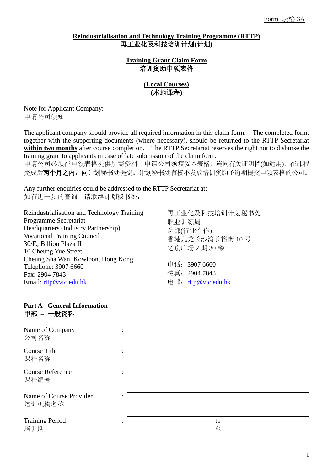### **Reindustrialisation and Technology Training Programme (RTTP)** 再工业化及科技培训计划**(**计划**)**

**Training Grant Claim Form** 培训资助申领表格

# **(Local Courses) (**本地课程**)**

Note for Applicant Company: 申请公司须知

The applicant company should provide all required information in this claim form. The completed form, together with the supporting documents (where necessary), should be returned to the RTTP Secretariat **within two months** after course completion. The RTTP Secretariat reserves the right not to disburse the training grant to applicants in case of late submission of the claim form.

申请公司必须在申领表格提供所需资料。申请公司须填妥本表格,连同有关证明档(如适用),在课程 完成后两个月之内,向计划秘书处提交。计划秘书处有权不发放培训资助予逾期提交申领表格的公司。

Any further enquiries could be addressed to the RTTP Secretariat at: 如有进一步的查询,请联络计划秘书处:

Reindustrialisation and Technology Training Programme Secretariat Headquarters (Industry Partnership) Vocational Training Council 30/F., Billion Plaza II 10 Cheung Yue Street Cheung Sha Wan, Kowloon, Hong Kong Telephone: 3907 6660 Fax: 2904 7843 Email: [rttp@vtc.edu.hk](mailto:rttp@vtc.edu.hk)

再工业化及科技培训计划秘书处 职业训练局 总部(行业合作) 香港九龙长沙湾长裕街 10 号 亿京广场 2 期 30 楼

电话:3907 6660 传真:2904 7843 电邮:[rttp@vtc.edu.hk](mailto:rttp@vtc.edu.hk)

#### **Part A - General Information** 甲部 **–** 一般资料

Name of 公司名称

Course 课程名

Course 课程编

Name of 培训机

**Training** 培训期

| of Company<br>称           |         |  |
|---------------------------|---------|--|
| Title<br>称                |         |  |
| Reference<br>号            |         |  |
| of Course Provider<br>构名称 |         |  |
| g Period                  | to<br>至 |  |